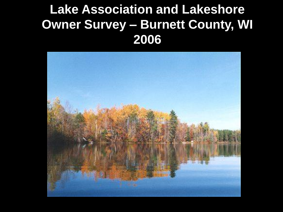### **Lake Association and Lakeshore Owner Survey – Burnett County, WI 2006**

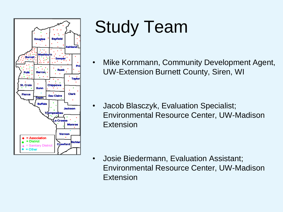

## Study Team

• Mike Kornmann, Community Development Agent, UW-Extension Burnett County, Siren, WI

• Jacob Blasczyk, Evaluation Specialist; Environmental Resource Center, UW-Madison Extension

• Josie Biedermann, Evaluation Assistant; Environmental Resource Center, UW-Madison Extension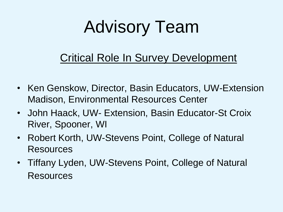## Advisory Team

#### Critical Role In Survey Development

- Ken Genskow, Director, Basin Educators, UW-Extension Madison, Environmental Resources Center
- John Haack, UW- Extension, Basin Educator-St Croix River, Spooner, WI
- Robert Korth, UW-Stevens Point, College of Natural Resources
- Tiffany Lyden, UW-Stevens Point, College of Natural Resources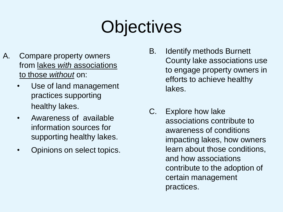### **Objectives**

- A. Compare property owners from lakes *with* associations to those *without* on:
	- Use of land management practices supporting healthy lakes.
	- Awareness of available information sources for supporting healthy lakes.
	- Opinions on select topics.
- B. Identify methods Burnett County lake associations use to engage property owners in efforts to achieve healthy lakes.
- C. Explore how lake associations contribute to awareness of conditions impacting lakes, how owners learn about those conditions, and how associations contribute to the adoption of certain management practices.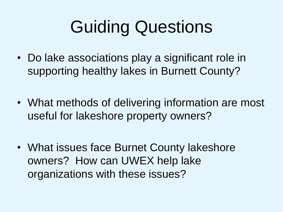## Guiding Questions

- Do lake associations play a significant role in supporting healthy lakes in Burnett County?
- What methods of delivering information are most useful for lakeshore property owners?
- What issues face Burnet County lakeshore owners? How can UWEX help lake organizations with these issues?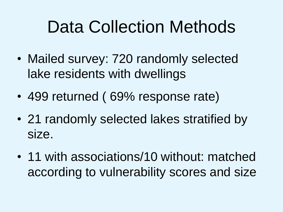### Data Collection Methods

- Mailed survey: 720 randomly selected lake residents with dwellings
- 499 returned ( 69% response rate)
- 21 randomly selected lakes stratified by size.
- 11 with associations/10 without: matched according to vulnerability scores and size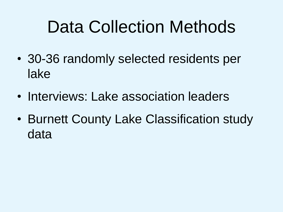### Data Collection Methods

- 30-36 randomly selected residents per lake
- Interviews: Lake association leaders
- Burnett County Lake Classification study data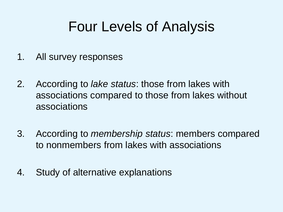### Four Levels of Analysis

- 1. All survey responses
- 2. According to *lake status*: those from lakes with associations compared to those from lakes without associations
- 3. According to *membership status*: members compared to nonmembers from lakes with associations
- 4. Study of alternative explanations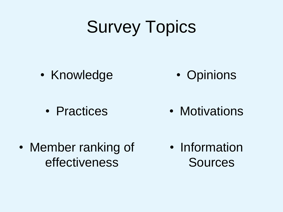### Survey Topics

• Knowledge

• Opinions

• Practices • Motivations

• Member ranking of effectiveness

• Information Sources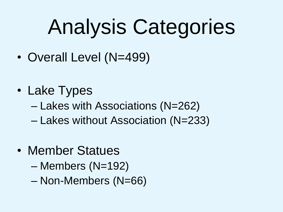# Analysis Categories

- Overall Level (N=499)
- Lake Types
	- Lakes with Associations (N=262)
	- Lakes without Association (N=233)
- Member Statues
	- Members (N=192)
	- Non-Members (N=66)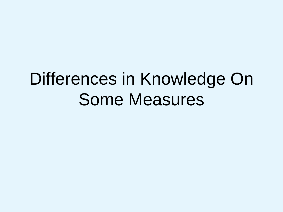### Differences in Knowledge On Some Measures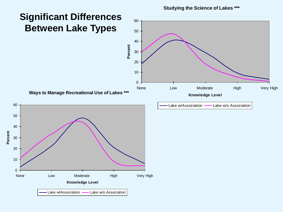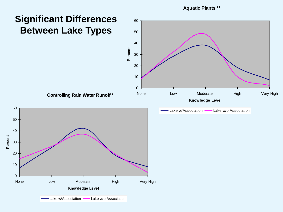#### **Significant Differences Between Lake Types**



60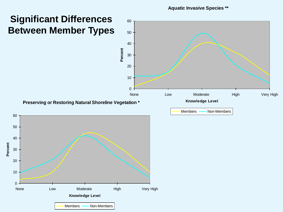#### **Significant Differences Between Member Types**

 $0 -$ 

10

20

30

**Percent**

40

50

60

**Aquatic Invasive Species \*\***

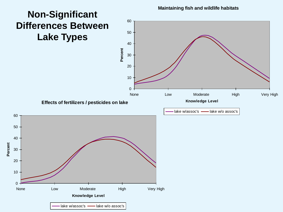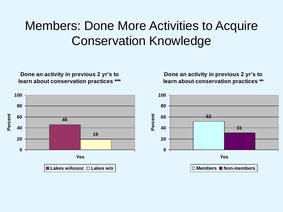#### Members: Done More Activities to Acquire Conservation Knowledge

**Done an activity in previous 2 yr's to learn about conservation practices \*\*\***

**Done an activity in previous 2 yr's to learn about conservation practices \*\***

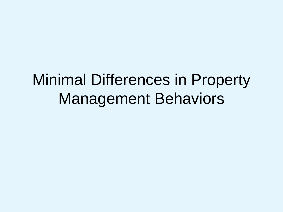### Minimal Differences in Property Management Behaviors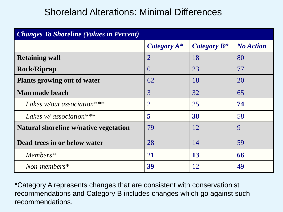#### Shoreland Alterations: Minimal Differences

| <b>Changes To Shoreline (Values in Percent)</b> |                |                |                  |
|-------------------------------------------------|----------------|----------------|------------------|
|                                                 | Category $A^*$ | Category $B^*$ | <b>No Action</b> |
| <b>Retaining wall</b>                           | $\overline{2}$ | 18             | 80               |
| <b>Rock/Riprap</b>                              | $\left($       | 23             | 77               |
| Plants growing out of water                     | 62             | 18             | 20               |
| Man made beach                                  | 3              | 32             | 65               |
| Lakes w/out association ***                     | $\overline{2}$ | 25             | 74               |
| Lakes $w$ association ***                       | 5              | 38             | 58               |
| Natural shoreline w/native vegetation           | 79             | 12             | 9                |
| Dead trees in or below water                    | 28             | 14             | 59               |
| Members*                                        | 21             | 13             | 66               |
| $Non-members*$                                  | 39             | 12             | 49               |

\*Category A represents changes that are consistent with conservationist recommendations and Category B includes changes which go against such recommendations.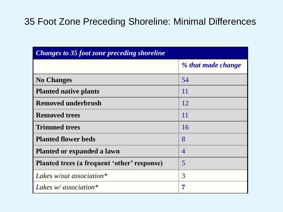#### 35 Foot Zone Preceding Shoreline: Minimal Differences

| <b>Changes to 35 foot zone preceding shoreline</b> |                    |  |
|----------------------------------------------------|--------------------|--|
|                                                    | % that made change |  |
| <b>No Changes</b>                                  | 54                 |  |
| <b>Planted native plants</b>                       | 11                 |  |
| <b>Removed underbrush</b>                          | 12                 |  |
| <b>Removed trees</b>                               | 11                 |  |
| <b>Trimmed trees</b>                               | 16                 |  |
| <b>Planted flower beds</b>                         | 8                  |  |
| Planted or expanded a lawn                         | $\overline{4}$     |  |
| Planted trees (a frequent 'other' response)        | 5                  |  |
| Lakes w/out association*                           | 3                  |  |
| Lakes $w$ association*                             | 7                  |  |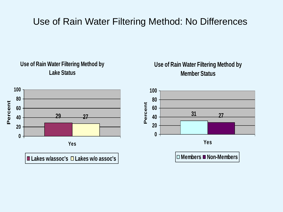#### Use of Rain Water Filtering Method: No Differences



**Use of Rain Water Filtering Method by Member Status**

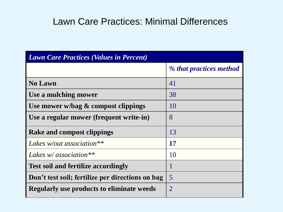#### Lawn Care Practices: Minimal Differences

| <b>Lawn Care Practices (Values in Percent)</b>   |                         |  |
|--------------------------------------------------|-------------------------|--|
|                                                  | % that practices method |  |
| <b>No Lawn</b>                                   | 41                      |  |
| Use a mulching mower                             | 38                      |  |
| Use mower w/bag $\&$ compost clippings           | 10                      |  |
| Use a regular mower (frequent write-in)          | 8                       |  |
| <b>Rake and compost clippings</b>                | 13                      |  |
| Lakes w/out association $**$                     | 17                      |  |
| Lakes $w$ association**                          | 10                      |  |
| <b>Test soil and fertilize accordingly</b>       |                         |  |
| Don't test soil; fertilize per directions on bag | $\overline{5}$          |  |
| <b>Regularly use products to eliminate weeds</b> | 2                       |  |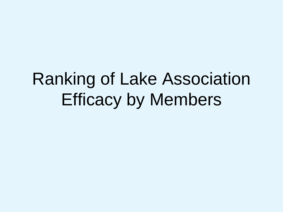### Ranking of Lake Association Efficacy by Members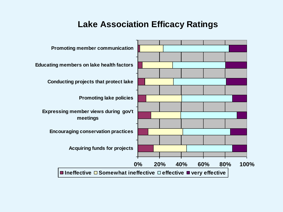#### **Lake Association Efficacy Ratings**

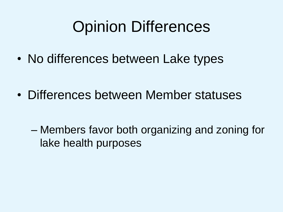### Opinion Differences

• No differences between Lake types

• Differences between Member statuses

– Members favor both organizing and zoning for lake health purposes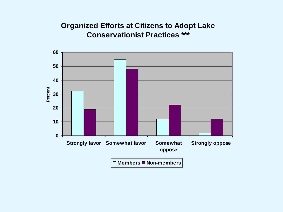#### **Organized Efforts at Citizens to Adopt Lake Conservationist Practices \*\*\***

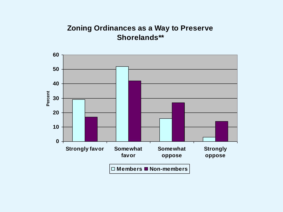#### **Zoning Ordinances as a Way to Preserve Shorelands\*\***

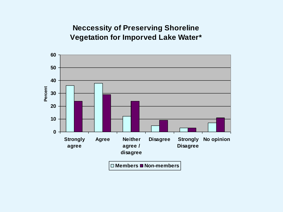#### **Neccessity of Preserving Shoreline Vegetation for Imporved Lake Water\***

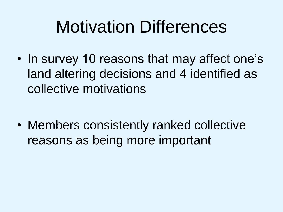### Motivation Differences

• In survey 10 reasons that may affect one's land altering decisions and 4 identified as collective motivations

• Members consistently ranked collective reasons as being more important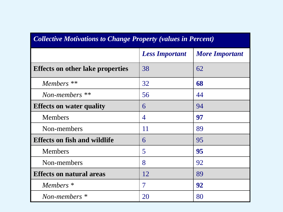| <b>Collective Motivations to Change Property (values in Percent)</b> |                       |                       |  |
|----------------------------------------------------------------------|-----------------------|-----------------------|--|
|                                                                      | <b>Less Important</b> | <b>More Important</b> |  |
| <b>Effects on other lake properties</b>                              | 38                    | 62                    |  |
| Members **                                                           | 32                    | 68                    |  |
| Non-members $**$                                                     | 56                    | 44                    |  |
| <b>Effects on water quality</b>                                      | 6                     | 94                    |  |
| <b>Members</b>                                                       | 4                     | 97                    |  |
| Non-members                                                          | 11                    | 89                    |  |
| <b>Effects on fish and wildlife</b>                                  | 6                     | 95                    |  |
| <b>Members</b>                                                       | 5                     | 95                    |  |
| Non-members                                                          | 8                     | 92                    |  |
| <b>Effects on natural areas</b>                                      | 12                    | 89                    |  |
| Members *                                                            | $\overline{7}$        | 92                    |  |
| Non-members *                                                        | 20                    | 80                    |  |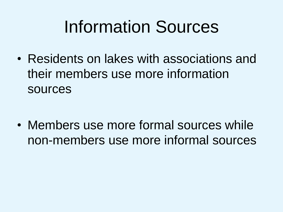### Information Sources

• Residents on lakes with associations and their members use more information sources

• Members use more formal sources while non-members use more informal sources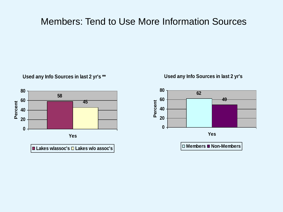#### Members: Tend to Use More Information Sources



**Used any Info Sources in last 2 yr's \*\***

#### **Used any Info Sources in last 2 yr's**

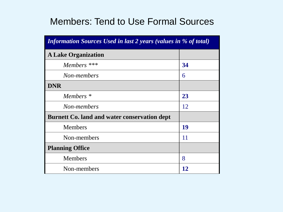#### Members: Tend to Use Formal Sources

| <b>Information Sources Used in last 2 years (values in % of total)</b> |    |  |
|------------------------------------------------------------------------|----|--|
| <b>A Lake Organization</b>                                             |    |  |
| Members ***                                                            | 34 |  |
| Non-members                                                            | 6  |  |
| <b>DNR</b>                                                             |    |  |
| Members *                                                              | 23 |  |
| Non-members                                                            | 12 |  |
| <b>Burnett Co. land and water conservation dept</b>                    |    |  |
| <b>Members</b>                                                         | 19 |  |
| Non-members                                                            | 11 |  |
| <b>Planning Office</b>                                                 |    |  |
| <b>Members</b>                                                         | 8  |  |
| Non-members                                                            | 12 |  |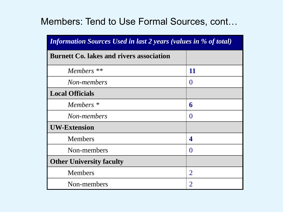#### Members: Tend to Use Formal Sources, cont…

| <b>Information Sources Used in last 2 years (values in % of total)</b> |                |  |
|------------------------------------------------------------------------|----------------|--|
| <b>Burnett Co. lakes and rivers association</b>                        |                |  |
| Members <sup>**</sup>                                                  | <b>11</b>      |  |
| Non-members                                                            | $\Omega$       |  |
| <b>Local Officials</b>                                                 |                |  |
| Members <sup>*</sup>                                                   | 6              |  |
| Non-members                                                            | $\Omega$       |  |
| <b>UW-Extension</b>                                                    |                |  |
| <b>Members</b>                                                         | 4              |  |
| Non-members                                                            | $\Omega$       |  |
| <b>Other University faculty</b>                                        |                |  |
| <b>Members</b>                                                         | $\overline{2}$ |  |
| Non-members                                                            | $\overline{2}$ |  |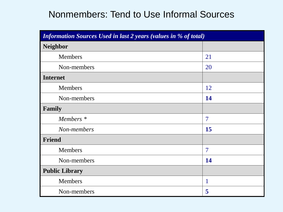#### Nonmembers: Tend to Use Informal Sources

| <b>Information Sources Used in last 2 years (values in % of total)</b> |                |  |
|------------------------------------------------------------------------|----------------|--|
| <b>Neighbor</b>                                                        |                |  |
| <b>Members</b>                                                         | 21             |  |
| Non-members                                                            | 20             |  |
| <b>Internet</b>                                                        |                |  |
| <b>Members</b>                                                         | 12             |  |
| Non-members                                                            | 14             |  |
| Family                                                                 |                |  |
| Members <sup>*</sup>                                                   | $\overline{7}$ |  |
| Non-members                                                            | 15             |  |
| <b>Friend</b>                                                          |                |  |
| <b>Members</b>                                                         | $\overline{7}$ |  |
| Non-members                                                            | 14             |  |
| <b>Public Library</b>                                                  |                |  |
| <b>Members</b>                                                         | 1              |  |
| Non-members                                                            | 5              |  |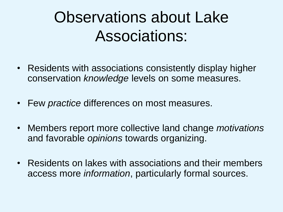### Observations about Lake Associations:

- Residents with associations consistently display higher conservation *knowledge* levels on some measures.
- Few *practice* differences on most measures.
- Members report more collective land change *motivations* and favorable *opinions* towards organizing.
- Residents on lakes with associations and their members access more *information*, particularly formal sources.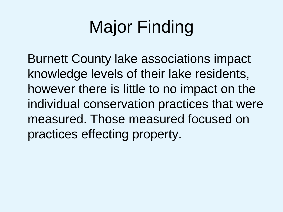## Major Finding

Burnett County lake associations impact knowledge levels of their lake residents, however there is little to no impact on the individual conservation practices that were measured. Those measured focused on practices effecting property.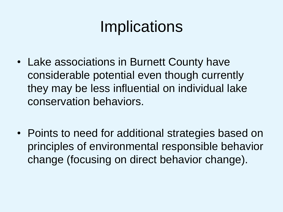### **Implications**

- Lake associations in Burnett County have considerable potential even though currently they may be less influential on individual lake conservation behaviors.
- Points to need for additional strategies based on principles of environmental responsible behavior change (focusing on direct behavior change).